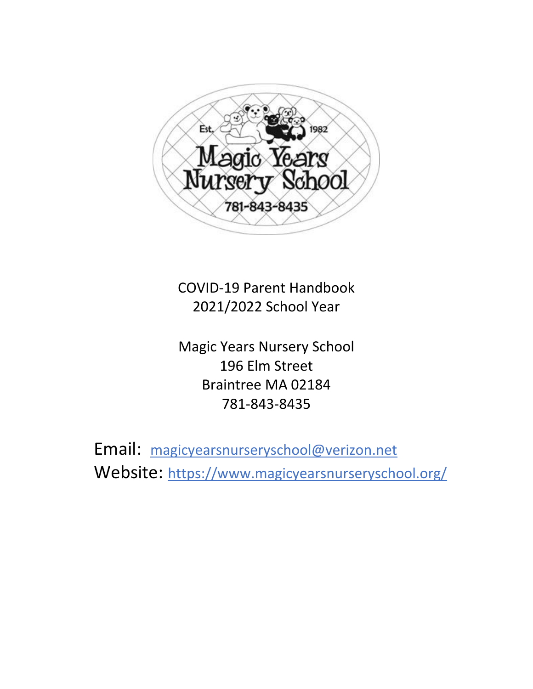

COVID-19 Parent Handbook 2021/2022 School Year

Magic Years Nursery School 196 Elm Street Braintree MA 02184 781-843-8435

Email: [magicyearsnurseryschool@verizon.net](mailto:magicyearsnurseryschool@verizon.net) Website: <https://www.magicyearsnurseryschool.org/>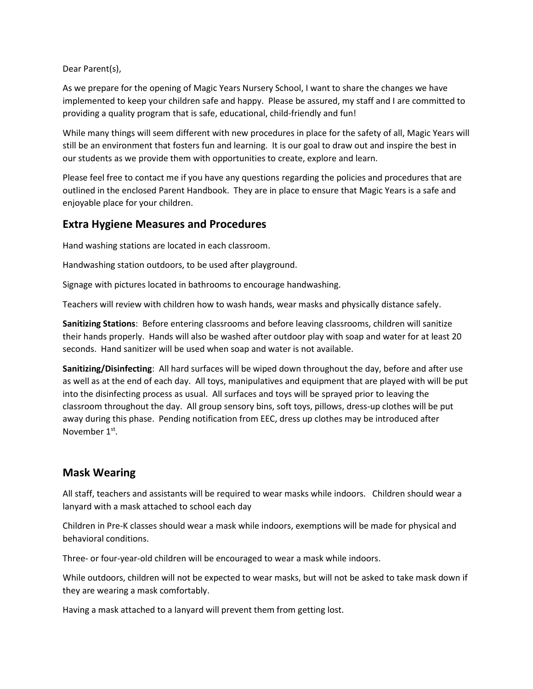Dear Parent(s),

As we prepare for the opening of Magic Years Nursery School, I want to share the changes we have implemented to keep your children safe and happy. Please be assured, my staff and I are committed to providing a quality program that is safe, educational, child-friendly and fun!

While many things will seem different with new procedures in place for the safety of all, Magic Years will still be an environment that fosters fun and learning. It is our goal to draw out and inspire the best in our students as we provide them with opportunities to create, explore and learn.

Please feel free to contact me if you have any questions regarding the policies and procedures that are outlined in the enclosed Parent Handbook. They are in place to ensure that Magic Years is a safe and enjoyable place for your children.

## **Extra Hygiene Measures and Procedures**

Hand washing stations are located in each classroom.

Handwashing station outdoors, to be used after playground.

Signage with pictures located in bathrooms to encourage handwashing.

Teachers will review with children how to wash hands, wear masks and physically distance safely.

**Sanitizing Stations**: Before entering classrooms and before leaving classrooms, children will sanitize their hands properly. Hands will also be washed after outdoor play with soap and water for at least 20 seconds. Hand sanitizer will be used when soap and water is not available.

**Sanitizing/Disinfecting**: All hard surfaces will be wiped down throughout the day, before and after use as well as at the end of each day. All toys, manipulatives and equipment that are played with will be put into the disinfecting process as usual. All surfaces and toys will be sprayed prior to leaving the classroom throughout the day. All group sensory bins, soft toys, pillows, dress-up clothes will be put away during this phase. Pending notification from EEC, dress up clothes may be introduced after November 1<sup>st</sup>.

### **Mask Wearing**

All staff, teachers and assistants will be required to wear masks while indoors. Children should wear a lanyard with a mask attached to school each day

Children in Pre-K classes should wear a mask while indoors, exemptions will be made for physical and behavioral conditions.

Three- or four-year-old children will be encouraged to wear a mask while indoors.

While outdoors, children will not be expected to wear masks, but will not be asked to take mask down if they are wearing a mask comfortably.

Having a mask attached to a lanyard will prevent them from getting lost.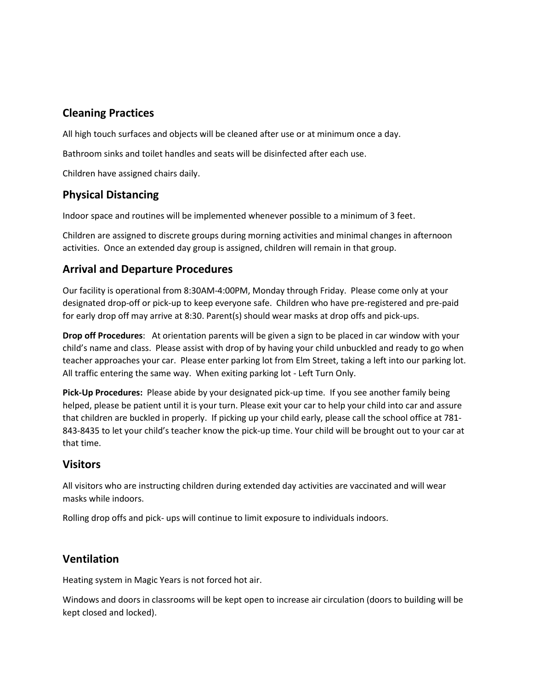# **Cleaning Practices**

All high touch surfaces and objects will be cleaned after use or at minimum once a day.

Bathroom sinks and toilet handles and seats will be disinfected after each use.

Children have assigned chairs daily.

### **Physical Distancing**

Indoor space and routines will be implemented whenever possible to a minimum of 3 feet.

Children are assigned to discrete groups during morning activities and minimal changes in afternoon activities. Once an extended day group is assigned, children will remain in that group.

### **Arrival and Departure Procedures**

Our facility is operational from 8:30AM-4:00PM, Monday through Friday. Please come only at your designated drop-off or pick-up to keep everyone safe. Children who have pre-registered and pre-paid for early drop off may arrive at 8:30. Parent(s) should wear masks at drop offs and pick-ups.

**Drop off Procedures**: At orientation parents will be given a sign to be placed in car window with your child's name and class. Please assist with drop of by having your child unbuckled and ready to go when teacher approaches your car. Please enter parking lot from Elm Street, taking a left into our parking lot. All traffic entering the same way. When exiting parking lot - Left Turn Only.

**Pick-Up Procedures:** Please abide by your designated pick-up time. If you see another family being helped, please be patient until it is your turn. Please exit your car to help your child into car and assure that children are buckled in properly. If picking up your child early, please call the school office at 781- 843-8435 to let your child's teacher know the pick-up time. Your child will be brought out to your car at that time.

### **Visitors**

All visitors who are instructing children during extended day activities are vaccinated and will wear masks while indoors.

Rolling drop offs and pick- ups will continue to limit exposure to individuals indoors.

### **Ventilation**

Heating system in Magic Years is not forced hot air.

Windows and doors in classrooms will be kept open to increase air circulation (doors to building will be kept closed and locked).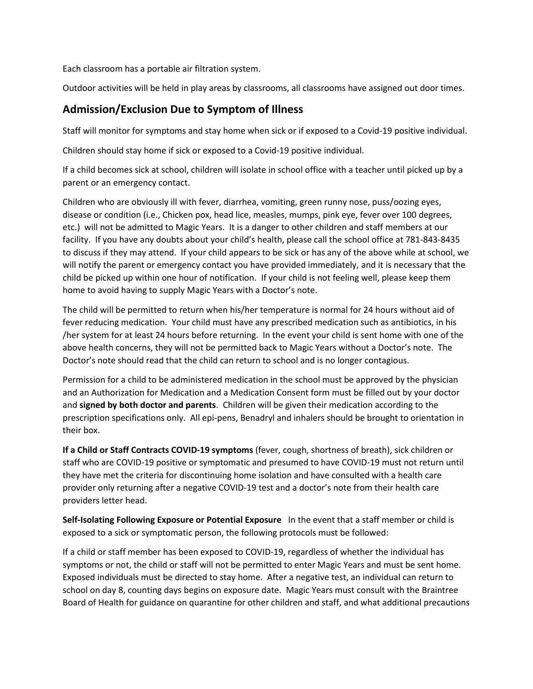Each classroom has a portable air filtration system.

Outdoor activities will be held in play areas by classrooms, all classrooms have assigned out door times.

#### **Admission/Exclusion Due to Symptom of Illness**

Staff will monitor for symptoms and stay home when sick or if exposed to a Covid-19 positive individual.

Children should stay home if sick or exposed to a Covid-19 positive individual.

If a child becomes sick at school, children will isolate in school office with a teacher until picked up by a parent or an emergency contact.

Children who are obviously ill with fever, diarrhea, vomiting, green runny nose, puss/oozing eyes, disease or condition (i.e., Chicken pox, head lice, measles, mumps, pink eye, fever over 100 degrees, etc.) will not be admitted to Magic Years. It is a danger to other children and staff members at our facility. If you have any doubts about your child's health, please call the school office at 781-843-8435 to discuss if they may attend. If your child appears to be sick or has any of the above while at school, we will notify the parent or emergency contact you have provided immediately, and it is necessary that the child be picked up within one hour of notification. If your child is not feeling well, please keep them home to avoid having to supply Magic Years with a Doctor's note.

The child will be permitted to return when his/her temperature is normal for 24 hours without aid of fever reducing medication. Your child must have any prescribed medication such as antibiotics, in his /her system for at least 24 hours before returning. In the event your child is sent home with one of the above health concerns, they will not be permitted back to Magic Years without a Doctor's note. The Doctor's note should read that the child can return to school and is no longer contagious.

Permission for a child to be administered medication in the school must be approved by the physician and an Authorization for Medication and a Medication Consent form must be filled out by your doctor and **signed by both doctor and parents**. Children will be given their medication according to the prescription specifications only. All epi-pens, Benadryl and inhalers should be brought to orientation in their box.

**If a Child or Staff Contracts COVID-19 symptoms** (fever, cough, shortness of breath), sick children or staff who are COVID-19 positive or symptomatic and presumed to have COVID-19 must not return until they have met the criteria for discontinuing home isolation and have consulted with a health care provider only returning after a negative COVID-19 test and a doctor's note from their health care providers letter head.

**Self-Isolating Following Exposure or Potential Exposure** In the event that a staff member or child is exposed to a sick or symptomatic person, the following protocols must be followed:

If a child or staff member has been exposed to COVID-19, regardless of whether the individual has symptoms or not, the child or staff will not be permitted to enter Magic Years and must be sent home. Exposed individuals must be directed to stay home. After a negative test, an individual can return to school on day 8, counting days begins on exposure date. Magic Years must consult with the Braintree Board of Health for guidance on quarantine for other children and staff, and what additional precautions